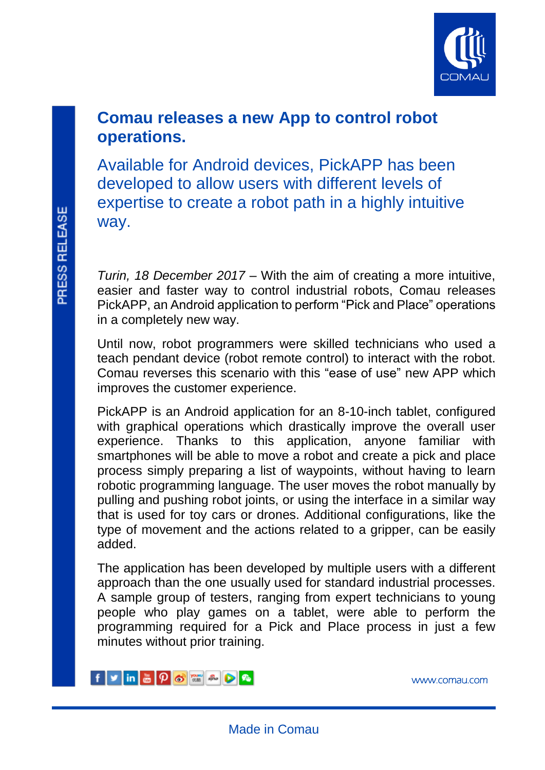

# **Comau releases a new App to control robot operations.**

Available for Android devices, PickAPP has been developed to allow users with different levels of expertise to create a robot path in a highly intuitive way.

*Turin, 18 December 2017* – With the aim of creating a more intuitive, easier and faster way to control industrial robots, Comau releases PickAPP, an Android application to perform "Pick and Place" operations in a completely new way.

Until now, robot programmers were skilled technicians who used a teach pendant device (robot remote control) to interact with the robot. Comau reverses this scenario with this "ease of use" new APP which improves the customer experience.

PickAPP is an Android application for an 8-10-inch tablet, configured with graphical operations which drastically improve the overall user experience. Thanks to this application, anyone familiar with smartphones will be able to move a robot and create a pick and place process simply preparing a list of waypoints, without having to learn robotic programming language. The user moves the robot manually by pulling and pushing robot joints, or using the interface in a similar way that is used for toy cars or drones. Additional configurations, like the type of movement and the actions related to a gripper, can be easily added.

The application has been developed by multiple users with a different approach than the one usually used for standard industrial processes. A sample group of testers, ranging from expert technicians to young people who play games on a tablet, were able to perform the programming required for a Pick and Place process in just a few minutes without prior training.



[www.comau.com](http://www.comau.com/EN) 

l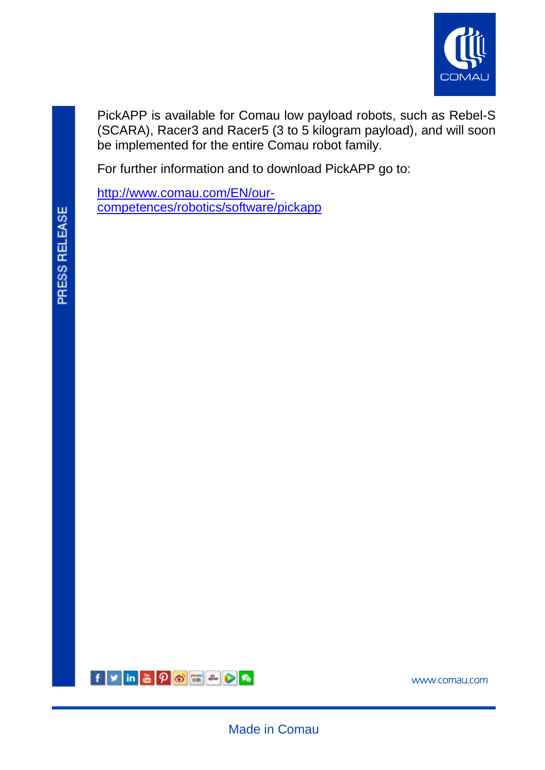

PickAPP is available for Comau low payload robots, such as Rebel-S (SCARA), Racer3 and Racer5 (3 to 5 kilogram payload), and will soon be implemented for the entire Comau robot family.

For further information and to download PickAPP go to:

[http://www.comau.com/EN/our](http://www.comau.com/EN/our-competences/robotics/software/pickapp)[competences/robotics/software/pickapp](http://www.comau.com/EN/our-competences/robotics/software/pickapp)

l



[www.comau.com](http://www.comau.com/EN) 

Made in Comau